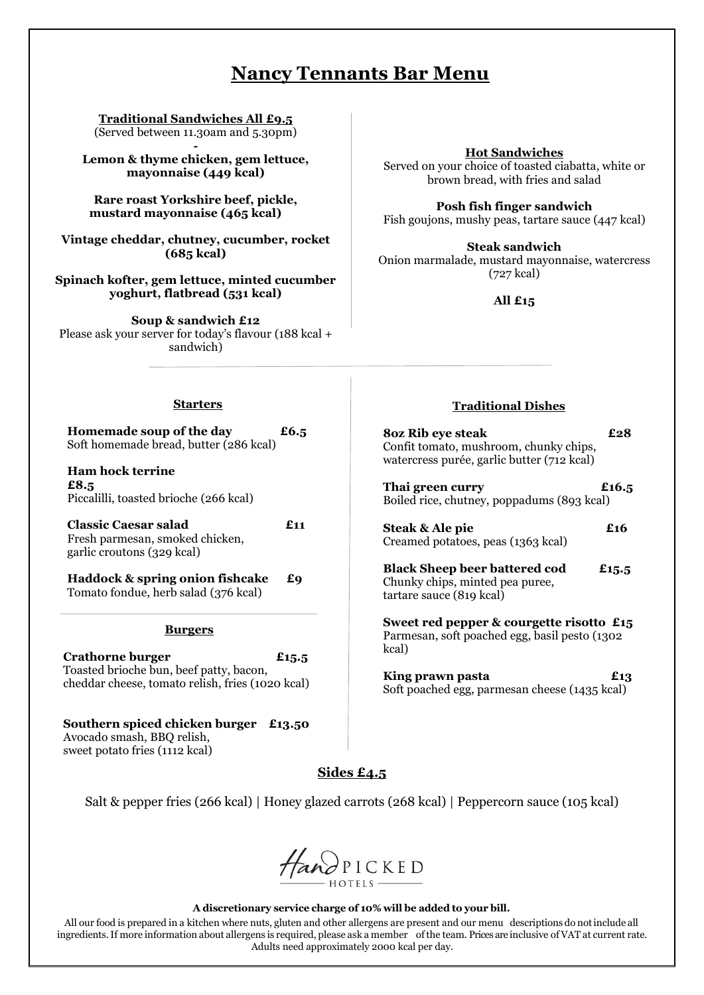# **NNancy Tennants Bar Menu**

**Traditional Sandwiches All £9.5** (Served between 11.30am and 5.30pm)

**- Lemon & thyme chicken, gem lettuce, mayonnaise (449 kcal)**

**Rare roast Yorkshire beef, pickle, mustard mayonnaise (465 kcal)**

**Vintage cheddar, chutney, cucumber, rocket (685 kcal)**

**Spinach kofter, gem lettuce, minted cucumber yoghurt, flatbread (531 kcal)**

**Soup & sandwich £12** Please ask your server for today's flavour (188 kcal + sandwich)

### **Hot Sandwiches**

Served on your choice of toasted ciabatta, white or brown bread, with fries and salad

**Posh fish finger sandwich** Fish goujons, mushy peas, tartare sauce (447 kcal)

**Steak sandwich** Onion marmalade, mustard mayonnaise, watercress (727 kcal)

**All £15**

### **Starters**

**Homemade soup of the day £6.5**  Soft homemade bread, butter (286 kcal)

**Ham hock terrine £8.5** Piccalilli, toasted brioche (266 kcal)

**Classic Caesar salad £11** Fresh parmesan, smoked chicken, garlic croutons (329 kcal)

**Haddock & spring onion fishcake £9** Tomato fondue, herb salad (376 kcal)

#### **Burgers**

**Crathorne burger £15.5** Toasted brioche bun, beef patty, bacon, cheddar cheese, tomato relish, fries (1020 kcal)

**Southern spiced chicken burger £13.50** Avocado smash, BBQ relish, sweet potato fries (1112 kcal)

# **Traditional Dishes**

**8oz Rib eye steak £28** Confit tomato, mushroom, chunky chips, watercress purée, garlic butter (712 kcal)

**Thai green curry £16.5** Boiled rice, chutney, poppadums (893 kcal)

| <b>Steak &amp; Ale pie</b>         | £16 |
|------------------------------------|-----|
| Creamed potatoes, peas (1363 kcal) |     |

**Black Sheep beer battered cod £15.5** Chunky chips, minted pea puree, tartare sauce (819 kcal)

**Sweet red pepper & courgette risotto £15** Parmesan, soft poached egg, basil pesto (1302 kcal)

**King prawn pasta £13** Soft poached egg, parmesan cheese (1435 kcal)

# **Sides £4.5**

Salt & pepper fries (266 kcal) | Honey glazed carrots (268 kcal) | Peppercorn sauce (105 kcal)



#### **A discretionary service charge of 10% will be added to your bill.**

All our food is prepared in a kitchen where nuts, gluten and other allergens are present and our menu descriptions do notinclude all ingredients.If more information about allergens is required, please ask a member ofthe team. Prices are inclusive of VAT at current rate. Adults need approximately 2000 kcal per day.